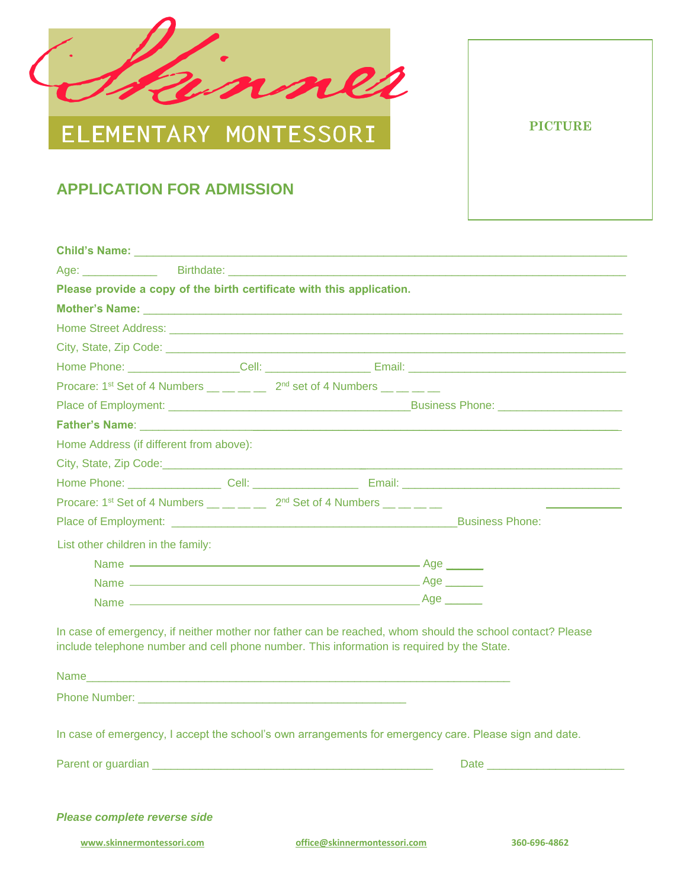

## ELEMENTARY MONTESSORI

## **APPLICATION FOR ADMISSION**

|                                         | Please provide a copy of the birth certificate with this application.                                                                                                                                                          |              |  |
|-----------------------------------------|--------------------------------------------------------------------------------------------------------------------------------------------------------------------------------------------------------------------------------|--------------|--|
|                                         | Mother's Name: Name: Name: Name: Name: Name: Name: Name: Name: Name: Name: Name: Name: Name: Name: Name: Name: Name: Name: Name: Name: Name: Name: Name: Name: Name: Name: Name: Name: Name: Name: Name: Name: Name: Name: Nam |              |  |
|                                         |                                                                                                                                                                                                                                |              |  |
|                                         |                                                                                                                                                                                                                                |              |  |
|                                         |                                                                                                                                                                                                                                |              |  |
|                                         | Procare: 1 <sup>st</sup> Set of 4 Numbers $\underline{\hspace{1cm}}\qquad \underline{\hspace{1cm}}\qquad \underline{\hspace{1cm}}$ 2 <sup>nd</sup> set of 4 Numbers $\underline{\hspace{1cm}}\qquad \underline{\hspace{1cm}}$  |              |  |
|                                         |                                                                                                                                                                                                                                |              |  |
|                                         |                                                                                                                                                                                                                                |              |  |
| Home Address (if different from above): |                                                                                                                                                                                                                                |              |  |
|                                         |                                                                                                                                                                                                                                |              |  |
|                                         |                                                                                                                                                                                                                                |              |  |
|                                         | Procare: 1 <sup>st</sup> Set of 4 Numbers __ _ _ _ _ 2 <sup>nd</sup> Set of 4 Numbers _ _ _ _ _                                                                                                                                |              |  |
|                                         |                                                                                                                                                                                                                                |              |  |
| List other children in the family:      |                                                                                                                                                                                                                                |              |  |
|                                         |                                                                                                                                                                                                                                |              |  |
|                                         |                                                                                                                                                                                                                                |              |  |
|                                         |                                                                                                                                                                                                                                |              |  |
|                                         | In case of emergency, if neither mother nor father can be reached, whom should the school contact? Please<br>include telephone number and cell phone number. This information is required by the State.<br>Name                |              |  |
|                                         | <b>Phone Number:</b> Phone Number:                                                                                                                                                                                             |              |  |
|                                         | In case of emergency, I accept the school's own arrangements for emergency care. Please sign and date.                                                                                                                         |              |  |
|                                         |                                                                                                                                                                                                                                |              |  |
|                                         |                                                                                                                                                                                                                                |              |  |
| Please complete reverse side            |                                                                                                                                                                                                                                |              |  |
|                                         |                                                                                                                                                                                                                                |              |  |
| www.skinnermontessori.com               | office@skinnermontessori.com                                                                                                                                                                                                   | 360-696-4862 |  |